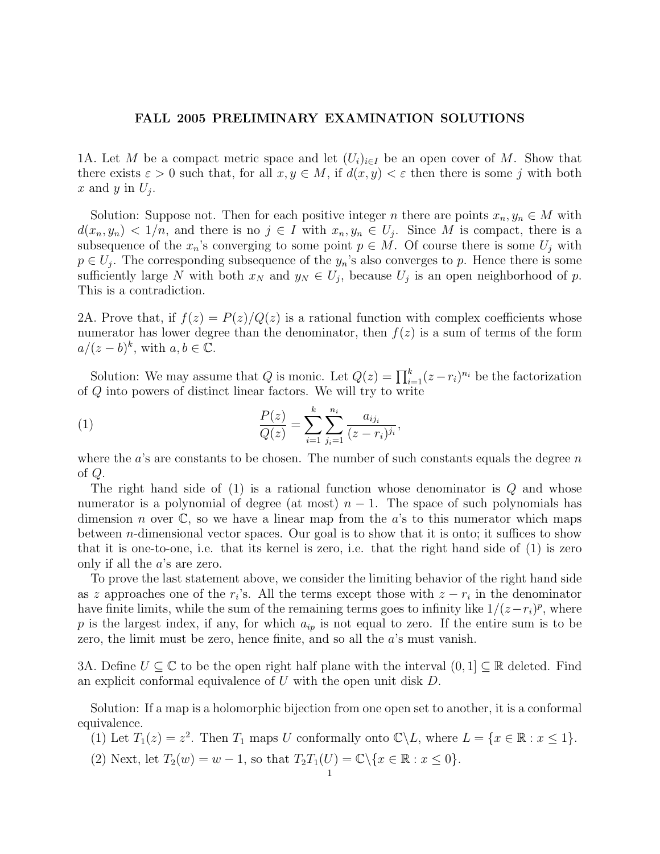## FALL 2005 PRELIMINARY EXAMINATION SOLUTIONS

1A. Let M be a compact metric space and let  $(U_i)_{i\in I}$  be an open cover of M. Show that there exists  $\varepsilon > 0$  such that, for all  $x, y \in M$ , if  $d(x, y) < \varepsilon$  then there is some j with both x and y in  $U_j$ .

Solution: Suppose not. Then for each positive integer n there are points  $x_n, y_n \in M$  with  $d(x_n, y_n) < 1/n$ , and there is no  $j \in I$  with  $x_n, y_n \in U_j$ . Since M is compact, there is a subsequence of the  $x_n$ 's converging to some point  $p \in M$ . Of course there is some  $U_j$  with  $p \in U_j$ . The corresponding subsequence of the  $y_n$ 's also converges to p. Hence there is some sufficiently large N with both  $x_N$  and  $y_N \in U_j$ , because  $U_j$  is an open neighborhood of p. This is a contradiction.

2A. Prove that, if  $f(z) = P(z)/Q(z)$  is a rational function with complex coefficients whose numerator has lower degree than the denominator, then  $f(z)$  is a sum of terms of the form  $a/(z-b)^k$ , with  $a, b \in \overline{\mathbb{C}}$ .

Solution: We may assume that Q is monic. Let  $Q(z) = \prod_{i=1}^{k} (z - r_i)^{n_i}$  be the factorization of Q into powers of distinct linear factors. We will try to write

(1) 
$$
\frac{P(z)}{Q(z)} = \sum_{i=1}^{k} \sum_{j_i=1}^{n_i} \frac{a_{ij_i}}{(z - r_i)^{j_i}},
$$

where the  $a$ 's are constants to be chosen. The number of such constants equals the degree  $n$ of Q.

The right hand side of  $(1)$  is a rational function whose denominator is  $Q$  and whose numerator is a polynomial of degree (at most)  $n-1$ . The space of such polynomials has dimension *n* over  $\mathbb{C}$ , so we have a linear map from the *a*'s to this numerator which maps between *n*-dimensional vector spaces. Our goal is to show that it is onto; it suffices to show that it is one-to-one, i.e. that its kernel is zero, i.e. that the right hand side of (1) is zero only if all the a's are zero.

To prove the last statement above, we consider the limiting behavior of the right hand side as z approaches one of the  $r_i$ 's. All the terms except those with  $z - r_i$  in the denominator have finite limits, while the sum of the remaining terms goes to infinity like  $1/(z-r_i)^p$ , where p is the largest index, if any, for which  $a_{ip}$  is not equal to zero. If the entire sum is to be zero, the limit must be zero, hence finite, and so all the a's must vanish.

3A. Define  $U \subseteq \mathbb{C}$  to be the open right half plane with the interval  $(0, 1] \subseteq \mathbb{R}$  deleted. Find an explicit conformal equivalence of U with the open unit disk D.

Solution: If a map is a holomorphic bijection from one open set to another, it is a conformal equivalence.

(1) Let  $T_1(z) = z^2$ . Then  $T_1$  maps U conformally onto  $\mathbb{C}\backslash L$ , where  $L = \{x \in \mathbb{R} : x \leq 1\}$ .

(2) Next, let  $T_2(w) = w - 1$ , so that  $T_2T_1(U) = \mathbb{C} \backslash \{x \in \mathbb{R} : x \leq 0\}.$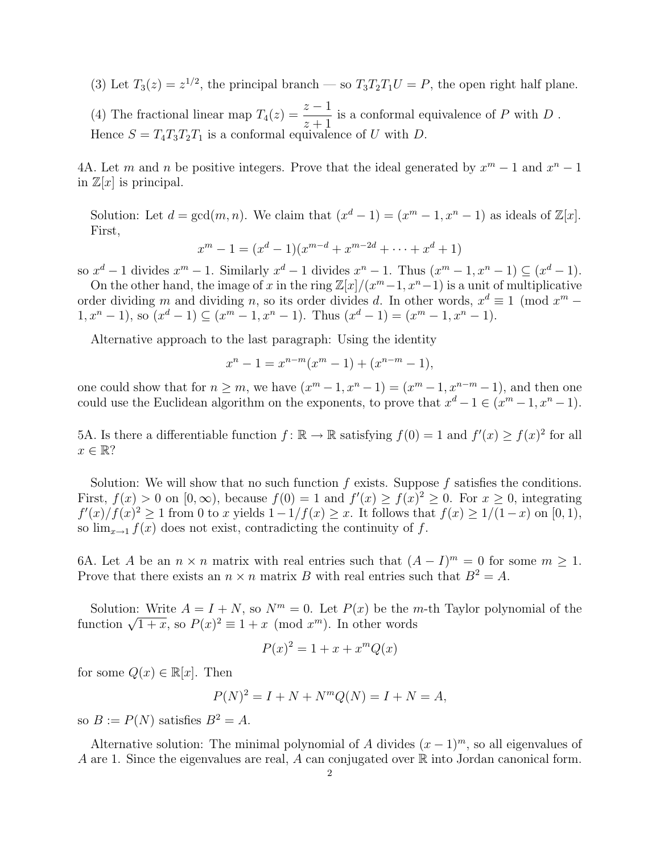(3) Let  $T_3(z) = z^{1/2}$ , the principal branch — so  $T_3T_2T_1U = P$ , the open right half plane.

(4) The fractional linear map  $T_4(z) = \frac{z-1}{z+1}$ is a conformal equivalence of  $P$  with  $D$ . Hence  $S = T_4T_3T_2T_1$  is a conformal equivalence of U with D.

4A. Let m and n be positive integers. Prove that the ideal generated by  $x^m - 1$  and  $x^n - 1$ in  $\mathbb{Z}[x]$  is principal.

Solution: Let  $d = \gcd(m, n)$ . We claim that  $(x^d - 1) = (x^m - 1, x^n - 1)$  as ideals of  $\mathbb{Z}[x]$ . First,

$$
x^{m} - 1 = (x^{d} - 1)(x^{m-d} + x^{m-2d} + \dots + x^{d} + 1)
$$

so  $x^d - 1$  divides  $x^m - 1$ . Similarly  $x^d - 1$  divides  $x^n - 1$ . Thus  $(x^m - 1, x^n - 1) \subseteq (x^d - 1)$ .

On the other hand, the image of x in the ring  $\mathbb{Z}[x]/(x^m-1, x^n-1)$  is a unit of multiplicative order dividing m and dividing n, so its order divides d. In other words,  $x^d \equiv 1 \pmod{x^m}$  $1, x^{n} - 1$ , so  $(x^{d} - 1) \subseteq (x^{m} - 1, x^{n} - 1)$ . Thus  $(x^{d} - 1) = (x^{m} - 1, x^{n} - 1)$ .

Alternative approach to the last paragraph: Using the identity

$$
x^{n} - 1 = x^{n-m}(x^{m} - 1) + (x^{n-m} - 1),
$$

one could show that for  $n \geq m$ , we have  $(x^m - 1, x^n - 1) = (x^m - 1, x^{n-m} - 1)$ , and then one could use the Euclidean algorithm on the exponents, to prove that  $x^d - 1 \in (x^m - 1, x^n - 1)$ .

5A. Is there a differentiable function  $f: \mathbb{R} \to \mathbb{R}$  satisfying  $f(0) = 1$  and  $f'(x) \ge f(x)^2$  for all  $x \in \mathbb{R}$ ?

Solution: We will show that no such function f exists. Suppose f satisfies the conditions. First,  $f(x) > 0$  on  $[0, \infty)$ , because  $f(0) = 1$  and  $f'(x) \ge f(x)^2 \ge 0$ . For  $x \ge 0$ , integrating  $f'(x)/f(x)^2 \geq 1$  from 0 to x yields  $1-1/f(x) \geq x$ . It follows that  $f(x) \geq 1/(1-x)$  on [0, 1), so  $\lim_{x\to 1} f(x)$  does not exist, contradicting the continuity of f.

6A. Let A be an  $n \times n$  matrix with real entries such that  $(A - I)^m = 0$  for some  $m \ge 1$ . Prove that there exists an  $n \times n$  matrix B with real entries such that  $B^2 = A$ .

Solution: Write  $A = I + N$ , so  $N<sup>m</sup> = 0$ . Let  $P(x)$  be the *m*-th Taylor polynomial of the Solution: Write  $A = I + N$ , so  $N^m \equiv 0$ . Let  $P(x)$  be the *r* function  $\sqrt{1+x}$ , so  $P(x)^2 \equiv 1+x \pmod{x^m}$ . In other words

$$
P(x)^2 = 1 + x + x^m Q(x)
$$

for some  $Q(x) \in \mathbb{R}[x]$ . Then

$$
P(N)^{2} = I + N + N^{m}Q(N) = I + N = A,
$$

so  $B := P(N)$  satisfies  $B^2 = A$ .

Alternative solution: The minimal polynomial of A divides  $(x - 1)^m$ , so all eigenvalues of A are 1. Since the eigenvalues are real, A can conjugated over  $\mathbb R$  into Jordan canonical form.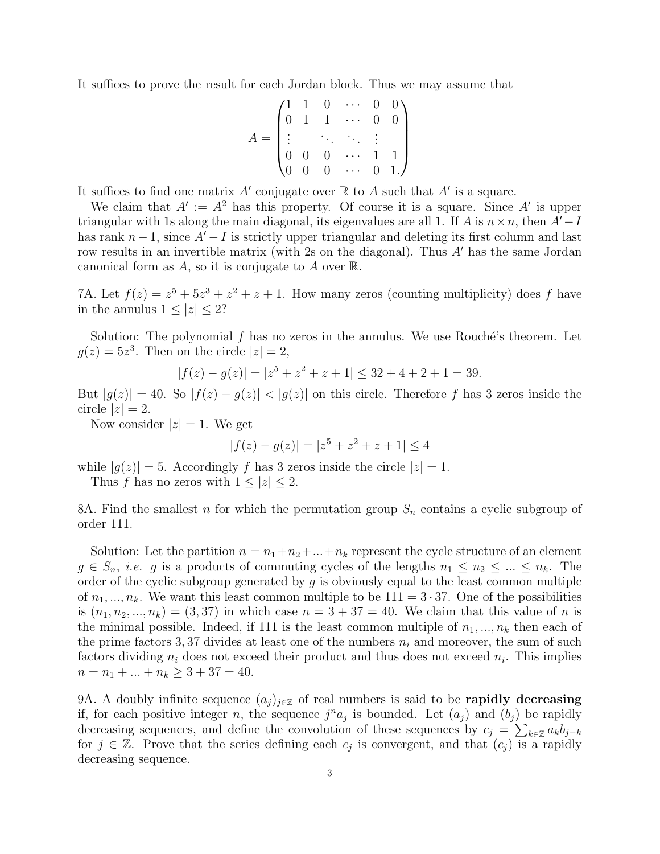It suffices to prove the result for each Jordan block. Thus we may assume that

$$
A = \begin{pmatrix} 1 & 1 & 0 & \cdots & 0 & 0 \\ 0 & 1 & 1 & \cdots & 0 & 0 \\ \vdots & & \ddots & \ddots & \vdots & \\ 0 & 0 & 0 & \cdots & 1 & 1 \\ 0 & 0 & 0 & \cdots & 0 & 1 \end{pmatrix}
$$

It suffices to find one matrix  $A'$  conjugate over  $\mathbb R$  to  $A$  such that  $A'$  is a square.

We claim that  $A' := A^2$  has this property. Of course it is a square. Since A' is upper triangular with 1s along the main diagonal, its eigenvalues are all 1. If A is  $n \times n$ , then  $A'-I$ has rank  $n-1$ , since  $A'-I$  is strictly upper triangular and deleting its first column and last row results in an invertible matrix (with 2s on the diagonal). Thus  $A'$  has the same Jordan canonical form as A, so it is conjugate to A over  $\mathbb{R}$ .

7A. Let  $f(z) = z^5 + 5z^3 + z^2 + z + 1$ . How many zeros (counting multiplicity) does f have in the annulus  $1 < |z| < 2$ ?

Solution: The polynomial  $f$  has no zeros in the annulus. We use Rouché's theorem. Let  $g(z) = 5z^3$ . Then on the circle  $|z| = 2$ ,

$$
|f(z) - g(z)| = |z^5 + z^2 + z + 1| \le 32 + 4 + 2 + 1 = 39.
$$

But  $|g(z)| = 40$ . So  $|f(z) - g(z)| < |g(z)|$  on this circle. Therefore f has 3 zeros inside the circle  $|z|=2$ .

Now consider  $|z|=1$ . We get

$$
|f(z) - g(z)| = |z^5 + z^2 + z + 1| \le 4
$$

while  $|g(z)| = 5$ . Accordingly f has 3 zeros inside the circle  $|z| = 1$ .

Thus f has no zeros with  $1 \leq |z| \leq 2$ .

8A. Find the smallest n for which the permutation group  $S_n$  contains a cyclic subgroup of order 111.

Solution: Let the partition  $n = n_1 + n_2 + ... + n_k$  represent the cycle structure of an element  $g \in S_n$ , *i.e.* g is a products of commuting cycles of the lengths  $n_1 \leq n_2 \leq ... \leq n_k$ . The order of the cyclic subgroup generated by  $g$  is obviously equal to the least common multiple of  $n_1, ..., n_k$ . We want this least common multiple to be  $111 = 3 \cdot 37$ . One of the possibilities is  $(n_1, n_2, ..., n_k) = (3, 37)$  in which case  $n = 3 + 37 = 40$ . We claim that this value of n is the minimal possible. Indeed, if 111 is the least common multiple of  $n_1, ..., n_k$  then each of the prime factors 3, 37 divides at least one of the numbers  $n_i$  and moreover, the sum of such factors dividing  $n_i$  does not exceed their product and thus does not exceed  $n_i$ . This implies  $n = n_1 + \ldots + n_k \geq 3 + 37 = 40.$ 

9A. A doubly infinite sequence  $(a_i)_{i\in\mathbb{Z}}$  of real numbers is said to be **rapidly decreasing** if, for each positive integer n, the sequence  $j^n a_j$  is bounded. Let  $(a_j)$  and  $(b_j)$  be rapidly decreasing sequences, and define the convolution of these sequences by  $c_j = \sum_{k \in \mathbb{Z}} a_k b_{j-k}$ for  $j \in \mathbb{Z}$ . Prove that the series defining each  $c_j$  is convergent, and that  $(c_j)$  is a rapidly decreasing sequence.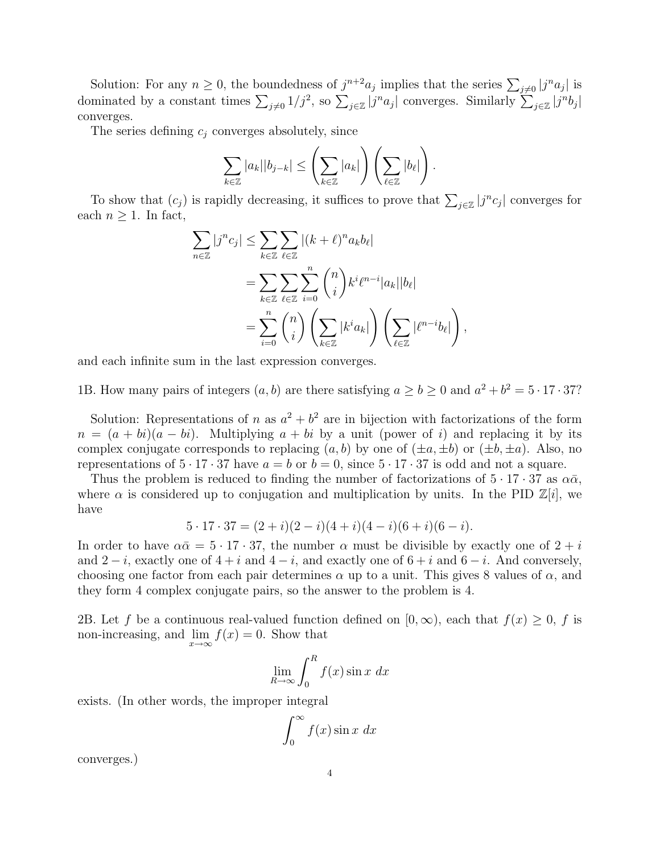Solution: For any  $n \geq 0$ , the boundedness of  $j^{n+2}a_j$  implies that the series  $\sum_{j\neq 0} |j^n a_j|$  is dominated by a constant times  $\sum_{j\neq 0} 1/j^2$ , so  $\sum_{j\in \mathbb{Z}} |j^n a_j|$  converges. Similarly  $\sum_{j\in \mathbb{Z}} |j^n b_j|$ converges.

The series defining  $c_i$  converges absolutely, since

$$
\sum_{k\in\mathbb{Z}}|a_k||b_{j-k}|\leq \left(\sum_{k\in\mathbb{Z}}|a_k|\right)\left(\sum_{\ell\in\mathbb{Z}}|b_{\ell}|\right).
$$

To show that  $(c_j)$  is rapidly decreasing, it suffices to prove that  $\sum_{j\in\mathbb{Z}}|j^n c_j|$  converges for each  $n \geq 1$ . In fact,

$$
\sum_{n\in\mathbb{Z}}|j^{n}c_{j}|\leq \sum_{k\in\mathbb{Z}}\sum_{\ell\in\mathbb{Z}}|(k+\ell)^{n}a_{k}b_{\ell}|
$$
  

$$
=\sum_{k\in\mathbb{Z}}\sum_{\ell\in\mathbb{Z}}\sum_{i=0}^{n}\binom{n}{i}k^{i}\ell^{n-i}|a_{k}||b_{\ell}|
$$
  

$$
=\sum_{i=0}^{n}\binom{n}{i}\left(\sum_{k\in\mathbb{Z}}|k^{i}a_{k}|\right)\left(\sum_{\ell\in\mathbb{Z}}|l^{n-i}b_{\ell}|\right),
$$

and each infinite sum in the last expression converges.

1B. How many pairs of integers  $(a, b)$  are there satisfying  $a \ge b \ge 0$  and  $a^2 + b^2 = 5 \cdot 17 \cdot 37$ ?

Solution: Representations of n as  $a^2 + b^2$  are in bijection with factorizations of the form  $n = (a + bi)(a - bi)$ . Multiplying  $a + bi$  by a unit (power of i) and replacing it by its complex conjugate corresponds to replacing  $(a, b)$  by one of  $(\pm a, \pm b)$  or  $(\pm b, \pm a)$ . Also, no representations of  $5 \cdot 17 \cdot 37$  have  $a = b$  or  $b = 0$ , since  $5 \cdot 17 \cdot 37$  is odd and not a square.

Thus the problem is reduced to finding the number of factorizations of  $5 \cdot 17 \cdot 37$  as  $\alpha\bar{\alpha}$ , where  $\alpha$  is considered up to conjugation and multiplication by units. In the PID  $\mathbb{Z}[i]$ , we have

$$
5 \cdot 17 \cdot 37 = (2+i)(2-i)(4+i)(4-i)(6+i)(6-i).
$$

In order to have  $\alpha \bar{\alpha} = 5 \cdot 17 \cdot 37$ , the number  $\alpha$  must be divisible by exactly one of  $2 + i$ and  $2-i$ , exactly one of  $4+i$  and  $4-i$ , and exactly one of  $6+i$  and  $6-i$ . And conversely, choosing one factor from each pair determines  $\alpha$  up to a unit. This gives 8 values of  $\alpha$ , and they form 4 complex conjugate pairs, so the answer to the problem is 4.

2B. Let f be a continuous real-valued function defined on  $[0, \infty)$ , each that  $f(x) \geq 0$ , f is non-increasing, and  $\lim_{x\to\infty} f(x) = 0$ . Show that

$$
\lim_{R \to \infty} \int_0^R f(x) \sin x \, dx
$$

exists. (In other words, the improper integral

$$
\int_0^\infty f(x) \sin x \ dx
$$

converges.)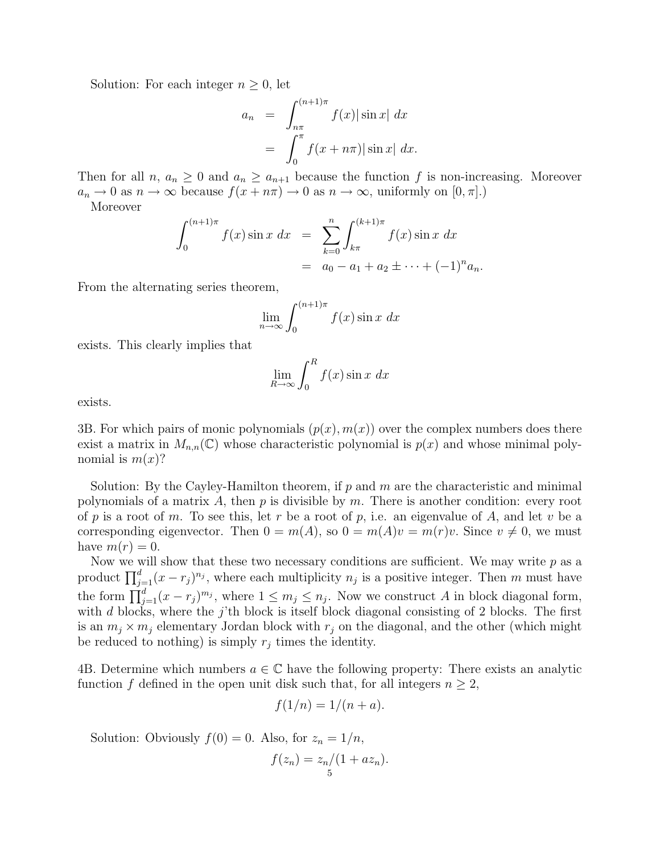Solution: For each integer  $n \geq 0$ , let

$$
a_n = \int_{n\pi}^{(n+1)\pi} f(x) |\sin x| dx
$$
  
= 
$$
\int_0^{\pi} f(x + n\pi) |\sin x| dx.
$$

Then for all  $n, a_n \geq 0$  and  $a_n \geq a_{n+1}$  because the function f is non-increasing. Moreover  $a_n \to 0$  as  $n \to \infty$  because  $f(x + n\pi) \to 0$  as  $n \to \infty$ , uniformly on  $[0, \pi]$ .

Moreover

$$
\int_0^{(n+1)\pi} f(x) \sin x \, dx = \sum_{k=0}^n \int_{k\pi}^{(k+1)\pi} f(x) \sin x \, dx
$$

$$
= a_0 - a_1 + a_2 \pm \dots + (-1)^n a_n.
$$

From the alternating series theorem,

$$
\lim_{n \to \infty} \int_0^{(n+1)\pi} f(x) \sin x \, dx
$$

exists. This clearly implies that

$$
\lim_{R \to \infty} \int_0^R f(x) \sin x \, dx
$$

exists.

3B. For which pairs of monic polynomials  $(p(x), m(x))$  over the complex numbers does there exist a matrix in  $M_{n,n}(\mathbb{C})$  whose characteristic polynomial is  $p(x)$  and whose minimal polynomial is  $m(x)$ ?

Solution: By the Cayley-Hamilton theorem, if  $p$  and  $m$  are the characteristic and minimal polynomials of a matrix A, then  $p$  is divisible by  $m$ . There is another condition: every root of p is a root of m. To see this, let r be a root of p, i.e. an eigenvalue of A, and let v be a corresponding eigenvector. Then  $0 = m(A)$ , so  $0 = m(A)v = m(r)v$ . Since  $v \neq 0$ , we must have  $m(r) = 0$ .

Now we will show that these two necessary conditions are sufficient. We may write  $p$  as a product  $\prod_{j=1}^{d} (x - r_j)^{n_j}$ , where each multiplicity  $n_j$  is a positive integer. Then m must have the form  $\prod_{j=1}^{d} (x - r_j)^{m_j}$ , where  $1 \leq m_j \leq n_j$ . Now we construct A in block diagonal form, with d blocks, where the j'th block is itself block diagonal consisting of 2 blocks. The first is an  $m_i \times m_j$  elementary Jordan block with  $r_j$  on the diagonal, and the other (which might be reduced to nothing) is simply  $r_j$  times the identity.

4B. Determine which numbers  $a \in \mathbb{C}$  have the following property: There exists an analytic function f defined in the open unit disk such that, for all integers  $n \geq 2$ ,

$$
f(1/n) = 1/(n+a).
$$

Solution: Obviously  $f(0) = 0$ . Also, for  $z_n = 1/n$ ,

$$
f(z_n) = \frac{z_n}{1 + az_n}.
$$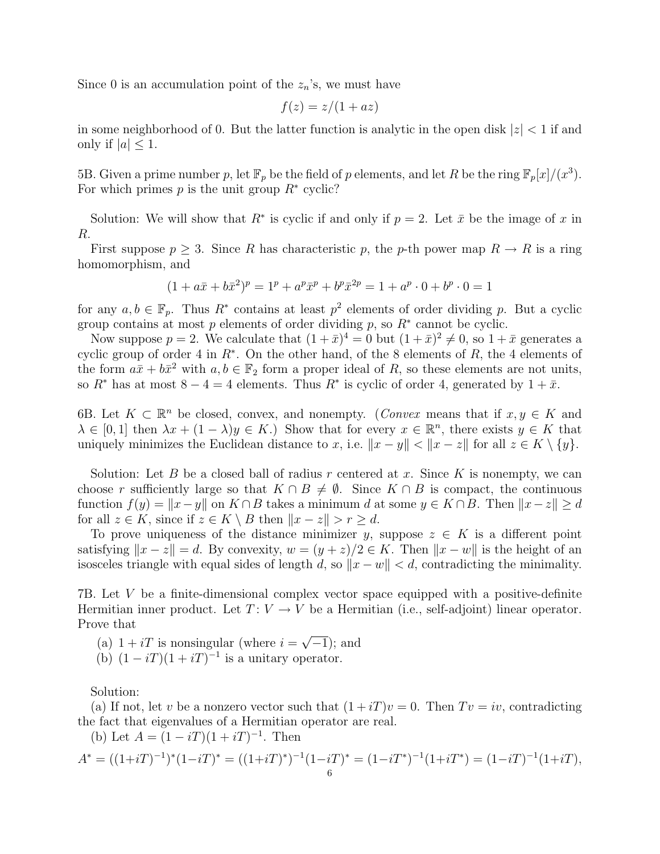Since 0 is an accumulation point of the  $z_n$ 's, we must have

$$
f(z) = z/(1 + az)
$$

in some neighborhood of 0. But the latter function is analytic in the open disk  $|z| < 1$  if and only if  $|a| \leq 1$ .

5B. Given a prime number p, let  $\mathbb{F}_p$  be the field of p elements, and let R be the ring  $\mathbb{F}_p[x]/(x^3)$ . For which primes  $p$  is the unit group  $R^*$  cyclic?

Solution: We will show that  $R^*$  is cyclic if and only if  $p = 2$ . Let  $\bar{x}$  be the image of x in R.

First suppose  $p \geq 3$ . Since R has characteristic p, the p-th power map  $R \to R$  is a ring homomorphism, and

$$
(1 + a\bar{x} + b\bar{x}^2)^p = 1^p + a^p \bar{x}^p + b^p \bar{x}^{2p} = 1 + a^p \cdot 0 + b^p \cdot 0 = 1
$$

for any  $a, b \in \mathbb{F}_p$ . Thus  $R^*$  contains at least  $p^2$  elements of order dividing p. But a cyclic group contains at most  $p$  elements of order dividing  $p$ , so  $R^*$  cannot be cyclic.

Now suppose  $p = 2$ . We calculate that  $(1 + \bar{x})^4 = 0$  but  $(1 + \bar{x})^2 \neq 0$ , so  $1 + \bar{x}$  generates a cyclic group of order 4 in  $R^*$ . On the other hand, of the 8 elements of  $R$ , the 4 elements of the form  $a\bar{x} + b\bar{x}^2$  with  $a, b \in \mathbb{F}_2$  form a proper ideal of R, so these elements are not units, so  $R^*$  has at most  $8-4=4$  elements. Thus  $R^*$  is cyclic of order 4, generated by  $1+\bar{x}$ .

6B. Let  $K \subset \mathbb{R}^n$  be closed, convex, and nonempty. (*Convex* means that if  $x, y \in K$  and  $\lambda \in [0,1]$  then  $\lambda x + (1-\lambda)y \in K$ .) Show that for every  $x \in \mathbb{R}^n$ , there exists  $y \in K$  that uniquely minimizes the Euclidean distance to x, i.e.  $||x - y|| < ||x - z||$  for all  $z \in K \setminus \{y\}$ .

Solution: Let B be a closed ball of radius r centered at x. Since K is nonempty, we can choose r sufficiently large so that  $K \cap B \neq \emptyset$ . Since  $K \cap B$  is compact, the continuous function  $f(y) = ||x-y||$  on  $K \cap B$  takes a minimum d at some  $y \in K \cap B$ . Then  $||x-z|| \geq d$ for all  $z \in K$ , since if  $z \in K \setminus B$  then  $||x - z|| > r \ge d$ .

To prove uniqueness of the distance minimizer y, suppose  $z \in K$  is a different point satisfying  $||x - z|| = d$ . By convexity,  $w = (y + z)/2 \in K$ . Then  $||x - w||$  is the height of an isosceles triangle with equal sides of length d, so  $\|x - w\| < d$ , contradicting the minimality.

7B. Let V be a finite-dimensional complex vector space equipped with a positive-definite Hermitian inner product. Let  $T: V \to V$  be a Hermitian (i.e., self-adjoint) linear operator. Prove that

(a)  $1 + iT$  is nonsingular (where  $i =$ √ −1); and

(b)  $(1 - iT)(1 + iT)^{-1}$  is a unitary operator.

Solution:

(a) If not, let v be a nonzero vector such that  $(1 + iT)v = 0$ . Then  $Tv = iv$ , contradicting the fact that eigenvalues of a Hermitian operator are real.

(b) Let  $A = (1 - iT)(1 + iT)^{-1}$ . Then

$$
A^* = ((1+iT)^{-1})^* (1-iT)^* = ((1+iT)^*)^{-1} (1-iT)^* = (1-iT)^{-1} (1+iT^*) = (1-iT)^{-1} (1+iT),
$$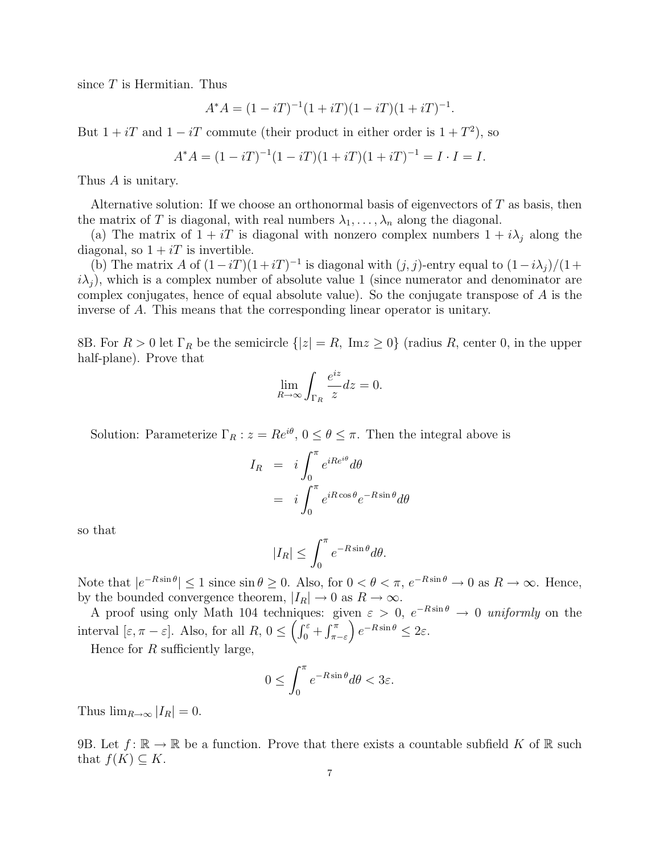since  $T$  is Hermitian. Thus

$$
A^*A = (1 - iT)^{-1}(1 + iT)(1 - iT)(1 + iT)^{-1}.
$$

But  $1 + iT$  and  $1 - iT$  commute (their product in either order is  $1 + T^2$ ), so

$$
A^*A = (1 - iT)^{-1}(1 - iT)(1 + iT)(1 + iT)^{-1} = I \cdot I = I.
$$

Thus A is unitary.

Alternative solution: If we choose an orthonormal basis of eigenvectors of T as basis, then the matrix of T is diagonal, with real numbers  $\lambda_1, \ldots, \lambda_n$  along the diagonal.

(a) The matrix of  $1 + iT$  is diagonal with nonzero complex numbers  $1 + i\lambda_i$  along the diagonal, so  $1 + iT$  is invertible.

(b) The matrix A of  $(1-iT)(1+iT)^{-1}$  is diagonal with  $(j, j)$ -entry equal to  $(1-i\lambda_j)/(1+iT)^{-1}$  $i\lambda_i$ , which is a complex number of absolute value 1 (since numerator and denominator are complex conjugates, hence of equal absolute value). So the conjugate transpose of A is the inverse of A. This means that the corresponding linear operator is unitary.

8B. For  $R > 0$  let  $\Gamma_R$  be the semicircle  $\{|z| = R$ , Im $z \ge 0\}$  (radius R, center 0, in the upper half-plane). Prove that

$$
\lim_{R \to \infty} \int_{\Gamma_R} \frac{e^{iz}}{z} dz = 0.
$$

Solution: Parameterize  $\Gamma_R$ :  $z = Re^{i\theta}$ ,  $0 \le \theta \le \pi$ . Then the integral above is

$$
I_R = i \int_0^{\pi} e^{iRe^{i\theta}} d\theta
$$
  
=  $i \int_0^{\pi} e^{iR\cos\theta} e^{-R\sin\theta} d\theta$ 

so that

$$
|I_R| \le \int_0^{\pi} e^{-R \sin \theta} d\theta.
$$

Note that  $|e^{-R\sin\theta}| \leq 1$  since  $\sin\theta \geq 0$ . Also, for  $0 < \theta < \pi$ ,  $e^{-R\sin\theta} \to 0$  as  $R \to \infty$ . Hence, by the bounded convergence theorem,  $|I_R| \to 0$  as  $R \to \infty$ .

A proof using only Math 104 techniques: given  $\varepsilon > 0$ ,  $e^{-R\sin\theta} \to 0$  uniformly on the interval  $[\varepsilon, \pi - \varepsilon]$ . Also, for all  $R, 0 \leq \left(\int_0^{\varepsilon} + \int_{\pi - \varepsilon}^{\pi} \right) e^{-R \sin \theta} \leq 2\varepsilon$ .

Hence for  $R$  sufficiently large,

$$
0 \le \int_0^{\pi} e^{-R\sin\theta} d\theta < 3\varepsilon.
$$

Thus  $\lim_{R\to\infty} |I_R| = 0$ .

9B. Let  $f: \mathbb{R} \to \mathbb{R}$  be a function. Prove that there exists a countable subfield K of  $\mathbb{R}$  such that  $f(K) \subseteq K$ .